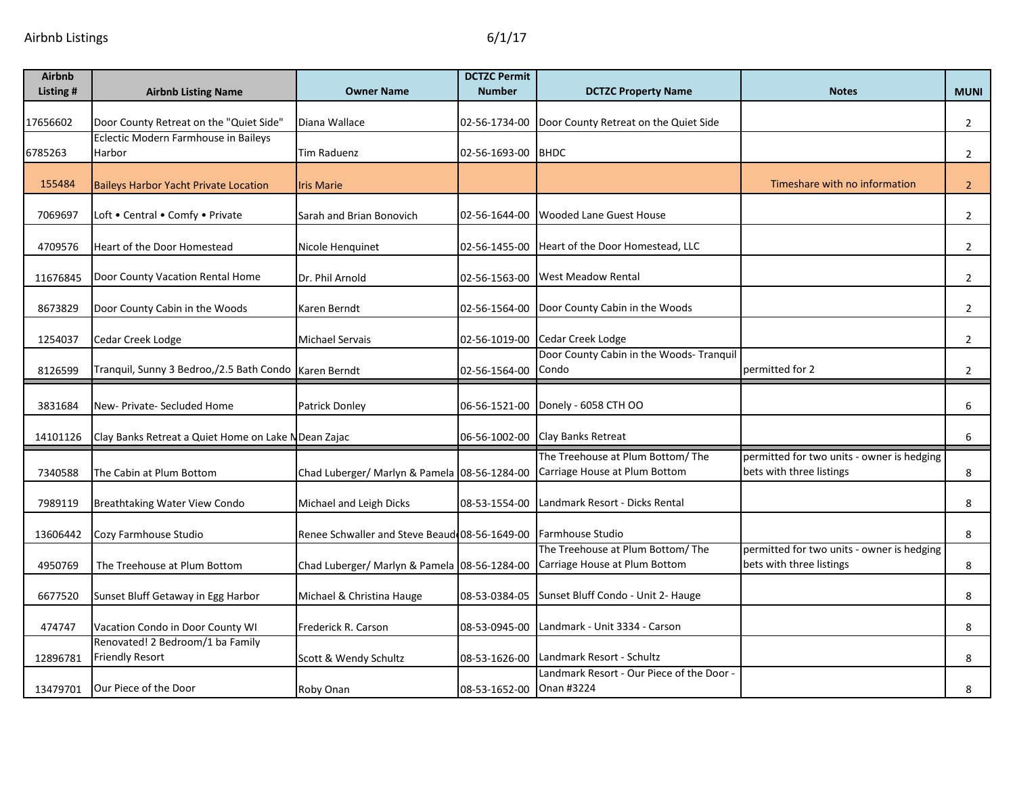| <b>Airbnb</b><br>Listing # | <b>Airbnb Listing Name</b>                                                      | <b>Owner Name</b>                             | <b>DCTZC Permit</b><br><b>Number</b> | <b>DCTZC Property Name</b>                                    | <b>Notes</b>                               | <b>MUNI</b>    |
|----------------------------|---------------------------------------------------------------------------------|-----------------------------------------------|--------------------------------------|---------------------------------------------------------------|--------------------------------------------|----------------|
|                            |                                                                                 |                                               |                                      |                                                               |                                            |                |
| 17656602                   | Door County Retreat on the "Quiet Side'<br>Eclectic Modern Farmhouse in Baileys | Diana Wallace                                 | 02-56-1734-00                        | Door County Retreat on the Quiet Side                         |                                            | $\overline{2}$ |
| 6785263                    | Harbor                                                                          | <b>Tim Raduenz</b>                            | 02-56-1693-00 BHDC                   |                                                               |                                            | $\overline{2}$ |
|                            |                                                                                 |                                               |                                      |                                                               |                                            |                |
| 155484                     | <b>Baileys Harbor Yacht Private Location</b>                                    | <b>Iris Marie</b>                             |                                      |                                                               | Timeshare with no information              | $\overline{2}$ |
| 7069697                    | Loft . Central . Comfy . Private                                                | Sarah and Brian Bonovich                      | 02-56-1644-00                        | <b>Wooded Lane Guest House</b>                                |                                            | $\overline{2}$ |
| 4709576                    | Heart of the Door Homestead                                                     | Nicole Henquinet                              | 02-56-1455-00                        | Heart of the Door Homestead, LLC                              |                                            | $\overline{2}$ |
|                            |                                                                                 |                                               |                                      |                                                               |                                            |                |
| 11676845                   | Door County Vacation Rental Home                                                | Dr. Phil Arnold                               | 02-56-1563-00                        | <b>West Meadow Rental</b>                                     |                                            | $\overline{2}$ |
| 8673829                    | Door County Cabin in the Woods                                                  | Karen Berndt                                  | 02-56-1564-00                        | Door County Cabin in the Woods                                |                                            | $\overline{2}$ |
|                            |                                                                                 |                                               |                                      |                                                               |                                            |                |
| 1254037                    | Cedar Creek Lodge                                                               | <b>Michael Servais</b>                        | 02-56-1019-00                        | Cedar Creek Lodge<br>Door County Cabin in the Woods- Tranquil |                                            | $\overline{2}$ |
| 8126599                    | Tranquil, Sunny 3 Bedroo,/2.5 Bath Condo Karen Berndt                           |                                               | 02-56-1564-00                        | Condo                                                         | permitted for 2                            | $\overline{2}$ |
| 3831684                    | New- Private- Secluded Home                                                     | Patrick Donley                                | 06-56-1521-00                        | Donely - 6058 CTH OO                                          |                                            | 6              |
|                            |                                                                                 |                                               |                                      |                                                               |                                            |                |
| 14101126                   | Clay Banks Retreat a Quiet Home on Lake NDean Zajac                             |                                               | 06-56-1002-00                        | Clay Banks Retreat                                            |                                            | 6              |
|                            |                                                                                 |                                               |                                      | The Treehouse at Plum Bottom/ The                             | permitted for two units - owner is hedging |                |
| 7340588                    | The Cabin at Plum Bottom                                                        | Chad Luberger/ Marlyn & Pamela 08-56-1284-00  |                                      | Carriage House at Plum Bottom                                 | bets with three listings                   | 8              |
| 7989119                    | Breathtaking Water View Condo                                                   | Michael and Leigh Dicks                       | 08-53-1554-00                        | Landmark Resort - Dicks Rental                                |                                            | 8              |
| 13606442                   | Cozy Farmhouse Studio                                                           | Renee Schwaller and Steve Beaud 08-56-1649-00 |                                      | Farmhouse Studio                                              |                                            | 8              |
|                            |                                                                                 |                                               |                                      | The Treehouse at Plum Bottom/ The                             | permitted for two units - owner is hedging |                |
| 4950769                    | The Treehouse at Plum Bottom                                                    | Chad Luberger/ Marlyn & Pamela 08-56-1284-00  |                                      | Carriage House at Plum Bottom                                 | bets with three listings                   | 8              |
| 6677520                    | Sunset Bluff Getaway in Egg Harbor                                              | Michael & Christina Hauge                     | 08-53-0384-05                        | Sunset Bluff Condo - Unit 2- Hauge                            |                                            | 8              |
| 474747                     | Vacation Condo in Door County WI                                                | Frederick R. Carson                           | 08-53-0945-00                        | Landmark - Unit 3334 - Carson                                 |                                            | 8              |
|                            | Renovated! 2 Bedroom/1 ba Family                                                |                                               |                                      |                                                               |                                            |                |
| 12896781                   | <b>Friendly Resort</b>                                                          | Scott & Wendy Schultz                         | 08-53-1626-00                        | Landmark Resort - Schultz                                     |                                            | 8              |
| 13479701                   | Our Piece of the Door                                                           | Roby Onan                                     | 08-53-1652-00 Onan #3224             | Landmark Resort - Our Piece of the Door                       |                                            | 8              |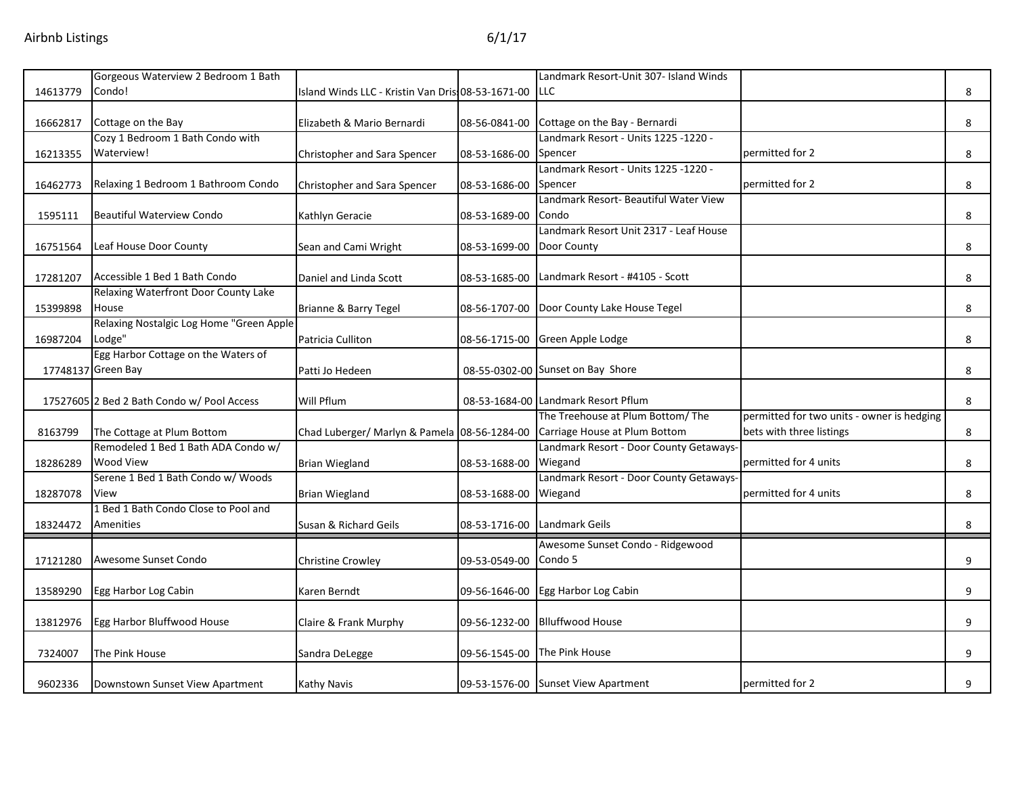|          | Gorgeous Waterview 2 Bedroom 1 Bath        |                                                    |               | Landmark Resort-Unit 307- Island Winds  |                                            |   |
|----------|--------------------------------------------|----------------------------------------------------|---------------|-----------------------------------------|--------------------------------------------|---|
| 14613779 | Condo!                                     | Island Winds LLC - Kristin Van Dris: 08-53-1671-00 |               | <b>LLC</b>                              |                                            | 8 |
|          |                                            |                                                    |               |                                         |                                            |   |
| 16662817 | Cottage on the Bay                         | Elizabeth & Mario Bernardi                         | 08-56-0841-00 | Cottage on the Bay - Bernardi           |                                            | 8 |
|          | Cozy 1 Bedroom 1 Bath Condo with           |                                                    |               | - Landmark Resort - Units 1225 -1220    |                                            |   |
| 16213355 | Waterview!                                 | Christopher and Sara Spencer                       | 08-53-1686-00 | Spencer                                 | permitted for 2                            | 8 |
|          |                                            |                                                    |               | Landmark Resort - Units 1225 -1220 -    |                                            |   |
| 16462773 | Relaxing 1 Bedroom 1 Bathroom Condo        | Christopher and Sara Spencer                       | 08-53-1686-00 | Spencer                                 | permitted for 2                            | 8 |
|          |                                            |                                                    |               | Landmark Resort- Beautiful Water View   |                                            |   |
| 1595111  | <b>Beautiful Waterview Condo</b>           | Kathlyn Geracie                                    | 08-53-1689-00 | Condo                                   |                                            | 8 |
|          |                                            |                                                    |               | Landmark Resort Unit 2317 - Leaf House  |                                            |   |
| 16751564 | Leaf House Door County                     | Sean and Cami Wright                               | 08-53-1699-00 | Door County                             |                                            | 8 |
|          |                                            |                                                    |               |                                         |                                            |   |
| 17281207 | Accessible 1 Bed 1 Bath Condo              | Daniel and Linda Scott                             | 08-53-1685-00 | Landmark Resort - #4105 - Scott         |                                            | 8 |
|          | Relaxing Waterfront Door County Lake       |                                                    |               |                                         |                                            |   |
| 15399898 | House                                      | Brianne & Barry Tegel                              | 08-56-1707-00 | Door County Lake House Tegel            |                                            | 8 |
|          | Relaxing Nostalgic Log Home "Green Apple   |                                                    |               |                                         |                                            |   |
| 16987204 | Lodge"                                     | Patricia Culliton                                  | 08-56-1715-00 | Green Apple Lodge                       |                                            | 8 |
|          | Egg Harbor Cottage on the Waters of        |                                                    |               |                                         |                                            |   |
|          | 17748137 Green Bay                         | Patti Jo Hedeen                                    |               | 08-55-0302-00 Sunset on Bay Shore       |                                            | 8 |
|          |                                            |                                                    |               |                                         |                                            |   |
|          | 17527605 2 Bed 2 Bath Condo w/ Pool Access | Will Pflum                                         |               | 08-53-1684-00 Landmark Resort Pflum     |                                            | 8 |
|          |                                            |                                                    |               | The Treehouse at Plum Bottom/ The       | permitted for two units - owner is hedging |   |
| 8163799  | The Cottage at Plum Bottom                 | Chad Luberger/ Marlyn & Pamela 08-56-1284-00       |               | Carriage House at Plum Bottom           | bets with three listings                   | 8 |
|          | Remodeled 1 Bed 1 Bath ADA Condo w/        |                                                    |               | Landmark Resort - Door County Getaways- |                                            |   |
| 18286289 | <b>Wood View</b>                           | <b>Brian Wiegland</b>                              | 08-53-1688-00 | Wiegand                                 | permitted for 4 units                      | 8 |
|          | Serene 1 Bed 1 Bath Condo w/ Woods         |                                                    |               | Landmark Resort - Door County Getaways- |                                            |   |
| 18287078 | View                                       | <b>Brian Wiegland</b>                              | 08-53-1688-00 | Wiegand                                 | permitted for 4 units                      | 8 |
|          | 1 Bed 1 Bath Condo Close to Pool and       |                                                    |               |                                         |                                            |   |
| 18324472 | Amenities                                  | Susan & Richard Geils                              | 08-53-1716-00 | Landmark Geils                          |                                            | 8 |
|          |                                            |                                                    |               | Awesome Sunset Condo - Ridgewood        |                                            |   |
| 17121280 | Awesome Sunset Condo                       | <b>Christine Crowley</b>                           | 09-53-0549-00 | Condo 5                                 |                                            | 9 |
|          |                                            |                                                    |               |                                         |                                            |   |
| 13589290 | Egg Harbor Log Cabin                       | Karen Berndt                                       | 09-56-1646-00 | Egg Harbor Log Cabin                    |                                            | 9 |
|          |                                            |                                                    |               |                                         |                                            |   |
| 13812976 | Egg Harbor Bluffwood House                 | Claire & Frank Murphy                              | 09-56-1232-00 | <b>Blluffwood House</b>                 |                                            | 9 |
|          |                                            |                                                    |               |                                         |                                            |   |
| 7324007  | The Pink House                             | Sandra DeLegge                                     | 09-56-1545-00 | The Pink House                          |                                            | 9 |
|          |                                            |                                                    |               |                                         |                                            |   |
| 9602336  | Downstown Sunset View Apartment            | Kathy Navis                                        |               | 09-53-1576-00 Sunset View Apartment     | permitted for 2                            | 9 |
|          |                                            |                                                    |               |                                         |                                            |   |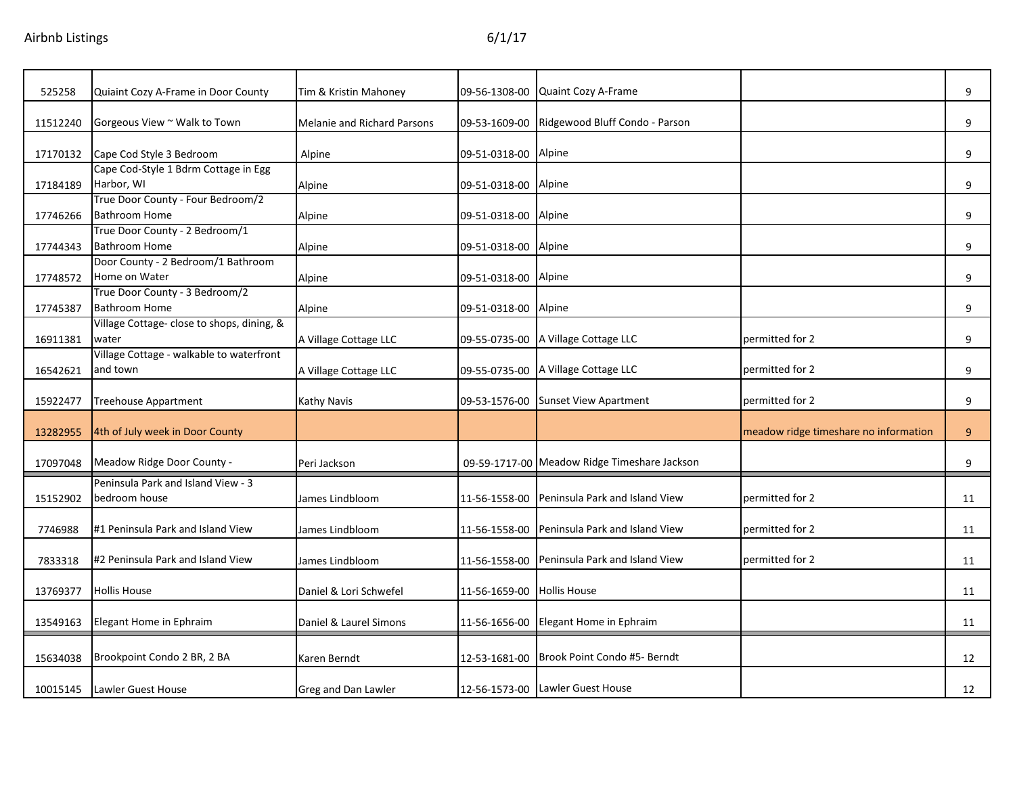| 525258   | Quiaint Cozy A-Frame in Door County                       | Tim & Kristin Mahoney              | 09-56-1308-00              | Quaint Cozy A-Frame                          |                                       | 9              |
|----------|-----------------------------------------------------------|------------------------------------|----------------------------|----------------------------------------------|---------------------------------------|----------------|
| 11512240 | Gorgeous View ~ Walk to Town                              | <b>Melanie and Richard Parsons</b> |                            | 09-53-1609-00 Ridgewood Bluff Condo - Parson |                                       | 9              |
| 17170132 | Cape Cod Style 3 Bedroom                                  | Alpine                             | 09-51-0318-00 Alpine       |                                              |                                       | 9              |
| 17184189 | Cape Cod-Style 1 Bdrm Cottage in Egg<br>Harbor, WI        | Alpine                             | 09-51-0318-00 Alpine       |                                              |                                       | 9              |
| 17746266 | True Door County - Four Bedroom/2<br><b>Bathroom Home</b> | Alpine                             | 09-51-0318-00 Alpine       |                                              |                                       | 9              |
| 17744343 | True Door County - 2 Bedroom/1<br><b>Bathroom Home</b>    | Alpine                             | 09-51-0318-00 Alpine       |                                              |                                       | 9              |
| 17748572 | Door County - 2 Bedroom/1 Bathroom<br>Home on Water       | Alpine                             | 09-51-0318-00 Alpine       |                                              |                                       | 9              |
| 17745387 | True Door County - 3 Bedroom/2<br><b>Bathroom Home</b>    | Alpine                             | 09-51-0318-00              | Alpine                                       |                                       | 9              |
| 16911381 | Village Cottage- close to shops, dining, &<br>water       | A Village Cottage LLC              |                            | 09-55-0735-00 A Village Cottage LLC          | permitted for 2                       | 9              |
| 16542621 | Village Cottage - walkable to waterfront<br>and town      | A Village Cottage LLC              |                            | 09-55-0735-00 A Village Cottage LLC          | permitted for 2                       | 9              |
| 15922477 | <b>Treehouse Appartment</b>                               | Kathy Navis                        |                            | 09-53-1576-00 Sunset View Apartment          | permitted for 2                       | 9              |
| 13282955 | 4th of July week in Door County                           |                                    |                            |                                              | meadow ridge timeshare no information | 9 <sup>°</sup> |
| 17097048 | Meadow Ridge Door County -                                | Peri Jackson                       |                            | 09-59-1717-00 Meadow Ridge Timeshare Jackson |                                       | 9              |
| 15152902 | Peninsula Park and Island View - 3<br>bedroom house       | James Lindbloom                    |                            | 11-56-1558-00 Peninsula Park and Island View | permitted for 2                       | 11             |
| 7746988  | #1 Peninsula Park and Island View                         | James Lindbloom                    | 11-56-1558-00              | Peninsula Park and Island View               | permitted for 2                       | 11             |
| 7833318  | #2 Peninsula Park and Island View                         | James Lindbloom                    |                            | 11-56-1558-00 Peninsula Park and Island View | permitted for 2                       | 11             |
| 13769377 | <b>Hollis House</b>                                       | Daniel & Lori Schwefel             | 11-56-1659-00 Hollis House |                                              |                                       | 11             |
| 13549163 | Elegant Home in Ephraim                                   | Daniel & Laurel Simons             |                            | 11-56-1656-00 Elegant Home in Ephraim        |                                       | 11             |
| 15634038 | Brookpoint Condo 2 BR, 2 BA                               | Karen Berndt                       |                            | 12-53-1681-00 Brook Point Condo #5- Berndt   |                                       | 12             |
| 10015145 | Lawler Guest House                                        | Greg and Dan Lawler                |                            | 12-56-1573-00 Lawler Guest House             |                                       | 12             |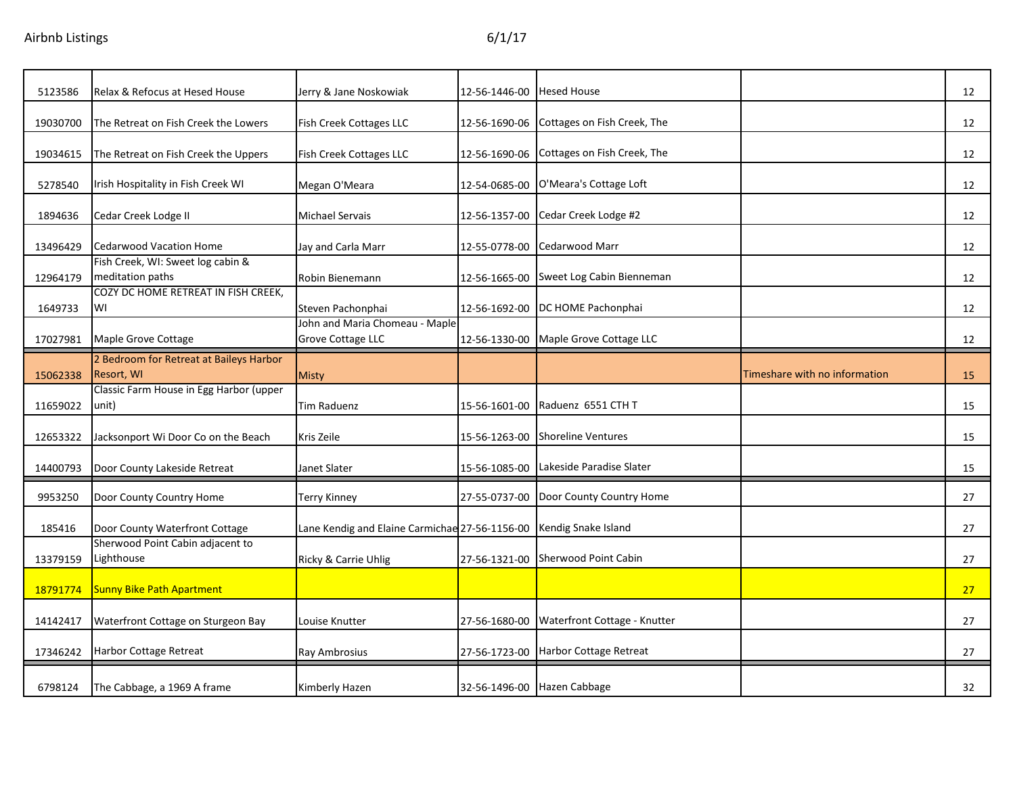| 5123586  | Relax & Refocus at Hesed House                        | Jerry & Jane Noskowiak                                     | 12-56-1446-00 | <b>Hesed House</b>           |                               | 12 |
|----------|-------------------------------------------------------|------------------------------------------------------------|---------------|------------------------------|-------------------------------|----|
| 19030700 | The Retreat on Fish Creek the Lowers                  | <b>Fish Creek Cottages LLC</b>                             | 12-56-1690-06 | Cottages on Fish Creek, The  |                               | 12 |
| 19034615 | The Retreat on Fish Creek the Uppers                  | Fish Creek Cottages LLC                                    | 12-56-1690-06 | Cottages on Fish Creek, The  |                               | 12 |
| 5278540  | Irish Hospitality in Fish Creek WI                    | Megan O'Meara                                              | 12-54-0685-00 | O'Meara's Cottage Loft       |                               | 12 |
| 1894636  | Cedar Creek Lodge II                                  | <b>Michael Servais</b>                                     | 12-56-1357-00 | Cedar Creek Lodge #2         |                               | 12 |
| 13496429 | <b>Cedarwood Vacation Home</b>                        | Jay and Carla Marr                                         | 12-55-0778-00 | Cedarwood Marr               |                               | 12 |
| 12964179 | Fish Creek, WI: Sweet log cabin &<br>meditation paths | Robin Bienemann                                            | 12-56-1665-00 | Sweet Log Cabin Bienneman    |                               | 12 |
| 1649733  | COZY DC HOME RETREAT IN FISH CREEK,<br>WI             | Steven Pachonphai                                          | 12-56-1692-00 | DC HOME Pachonphai           |                               | 12 |
| 17027981 | Maple Grove Cottage                                   | John and Maria Chomeau - Maple<br><b>Grove Cottage LLC</b> | 12-56-1330-00 | Maple Grove Cottage LLC      |                               | 12 |
| 15062338 | 2 Bedroom for Retreat at Baileys Harbor<br>Resort, WI | Misty                                                      |               |                              | Timeshare with no information | 15 |
| 11659022 | Classic Farm House in Egg Harbor (upper<br>unit)      | <b>Tim Raduenz</b>                                         | 15-56-1601-00 | Raduenz 6551 CTH T           |                               | 15 |
| 12653322 | Jacksonport Wi Door Co on the Beach                   | Kris Zeile                                                 | 15-56-1263-00 | <b>Shoreline Ventures</b>    |                               | 15 |
| 14400793 | Door County Lakeside Retreat                          | Janet Slater                                               | 15-56-1085-00 | Lakeside Paradise Slater     |                               |    |
|          |                                                       |                                                            |               |                              |                               | 15 |
| 9953250  | Door County Country Home                              | Terry Kinney                                               | 27-55-0737-00 | Door County Country Home     |                               | 27 |
| 185416   | Door County Waterfront Cottage                        | Lane Kendig and Elaine Carmichae 27-56-1156-00             |               | Kendig Snake Island          |                               | 27 |
| 13379159 | Sherwood Point Cabin adjacent to<br>Lighthouse        | Ricky & Carrie Uhlig                                       | 27-56-1321-00 | Sherwood Point Cabin         |                               | 27 |
| 18791774 | Sunny Bike Path Apartment                             |                                                            |               |                              |                               | 27 |
| 14142417 | Waterfront Cottage on Sturgeon Bay                    | Louise Knutter                                             | 27-56-1680-00 | Waterfront Cottage - Knutter |                               | 27 |
| 17346242 | <b>Harbor Cottage Retreat</b>                         | Ray Ambrosius                                              | 27-56-1723-00 | Harbor Cottage Retreat       |                               | 27 |
| 6798124  | The Cabbage, a 1969 A frame                           | Kimberly Hazen                                             |               | 32-56-1496-00 Hazen Cabbage  |                               | 32 |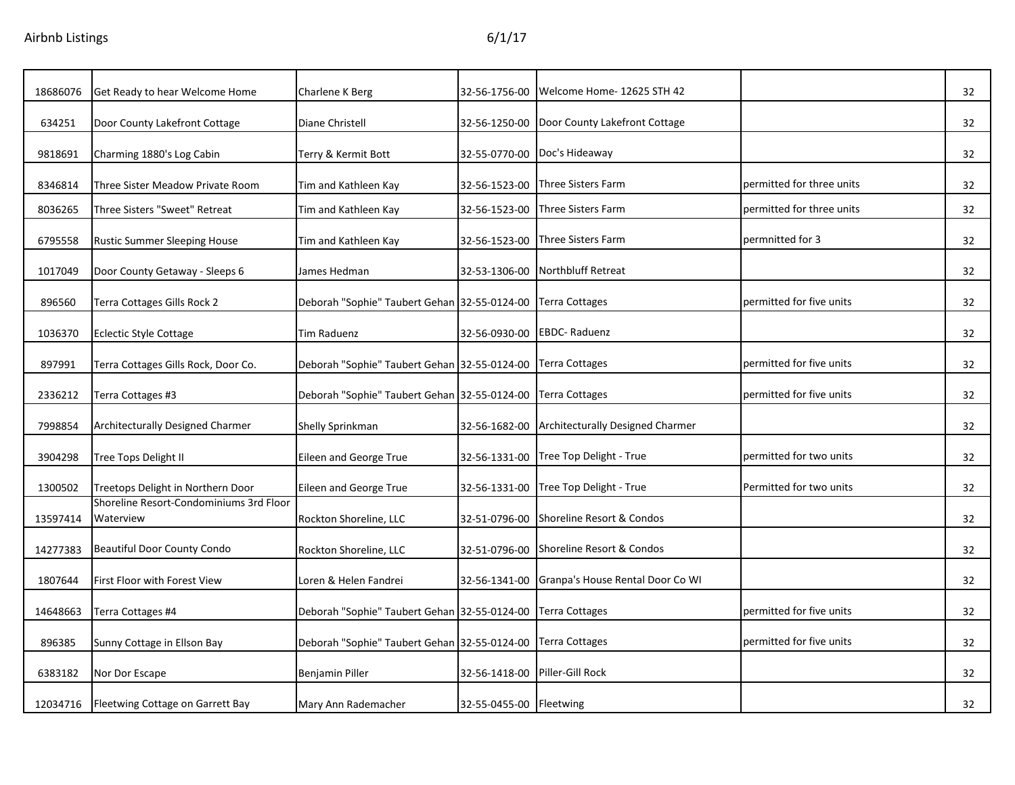| 18686076 | Get Ready to hear Welcome Home                       | Charlene K Berg                              | 32-56-1756-00           | Welcome Home-12625 STH 42               |                           | 32 |
|----------|------------------------------------------------------|----------------------------------------------|-------------------------|-----------------------------------------|---------------------------|----|
| 634251   | Door County Lakefront Cottage                        | Diane Christell                              | 32-56-1250-00           | Door County Lakefront Cottage           |                           | 32 |
| 9818691  | Charming 1880's Log Cabin                            | Terry & Kermit Bott                          | 32-55-0770-00           | Doc's Hideaway                          |                           | 32 |
| 8346814  | Three Sister Meadow Private Room                     | Tim and Kathleen Kay                         | 32-56-1523-00           | <b>Three Sisters Farm</b>               | permitted for three units | 32 |
| 8036265  | Three Sisters "Sweet" Retreat                        | Tim and Kathleen Kay                         | 32-56-1523-00           | <b>Three Sisters Farm</b>               | permitted for three units | 32 |
| 6795558  | Rustic Summer Sleeping House                         | Tim and Kathleen Kay                         | 32-56-1523-00           | <b>Three Sisters Farm</b>               | permnitted for 3          | 32 |
| 1017049  | Door County Getaway - Sleeps 6                       | James Hedman                                 | 32-53-1306-00           | Northbluff Retreat                      |                           | 32 |
| 896560   | Terra Cottages Gills Rock 2                          | Deborah "Sophie" Taubert Gehan 32-55-0124-00 |                         | <b>Terra Cottages</b>                   | permitted for five units  | 32 |
| 1036370  | <b>Eclectic Style Cottage</b>                        | Tim Raduenz                                  | 32-56-0930-00           | <b>EBDC-Raduenz</b>                     |                           | 32 |
| 897991   | Terra Cottages Gills Rock, Door Co.                  | Deborah "Sophie" Taubert Gehan 32-55-0124-00 |                         | <b>Terra Cottages</b>                   | permitted for five units  | 32 |
| 2336212  | Terra Cottages #3                                    | Deborah "Sophie" Taubert Gehan 32-55-0124-00 |                         | <b>Terra Cottages</b>                   | permitted for five units  | 32 |
| 7998854  | Architecturally Designed Charmer                     | Shelly Sprinkman                             | 32-56-1682-00           | <b>Architecturally Designed Charmer</b> |                           | 32 |
| 3904298  | <b>Tree Tops Delight II</b>                          | Eileen and George True                       | 32-56-1331-00           | Tree Top Delight - True                 | permitted for two units   | 32 |
| 1300502  | Treetops Delight in Northern Door                    | Eileen and George True                       | 32-56-1331-00           | Tree Top Delight - True                 | Permitted for two units   | 32 |
| 13597414 | Shoreline Resort-Condominiums 3rd Floor<br>Waterview | Rockton Shoreline, LLC                       | 32-51-0796-00           | Shoreline Resort & Condos               |                           | 32 |
| 14277383 | <b>Beautiful Door County Condo</b>                   | Rockton Shoreline, LLC                       | 32-51-0796-00           | Shoreline Resort & Condos               |                           | 32 |
| 1807644  | First Floor with Forest View                         | Loren & Helen Fandrei                        | 32-56-1341-00           | Granpa's House Rental Door Co WI        |                           | 32 |
| 14648663 | Terra Cottages #4                                    | Deborah "Sophie" Taubert Gehan 32-55-0124-00 |                         | <b>Terra Cottages</b>                   | permitted for five units  | 32 |
| 896385   | Sunny Cottage in Ellson Bay                          | Deborah "Sophie" Taubert Gehan 32-55-0124-00 |                         | <b>Terra Cottages</b>                   | permitted for five units  | 32 |
| 6383182  | Nor Dor Escape                                       | Benjamin Piller                              | 32-56-1418-00           | Piller-Gill Rock                        |                           | 32 |
| 12034716 | Fleetwing Cottage on Garrett Bay                     | Mary Ann Rademacher                          | 32-55-0455-00 Fleetwing |                                         |                           | 32 |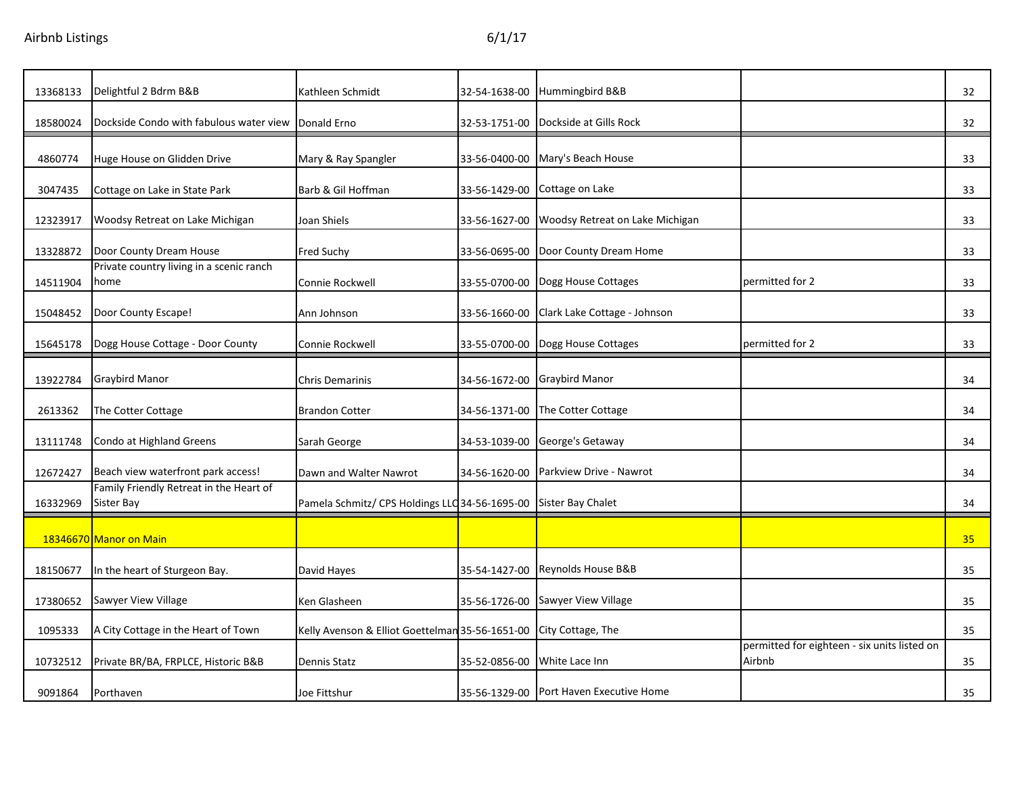| 13368133 | Delightful 2 Bdrm B&B                                 | Kathleen Schmidt                                                 | 32-54-1638-00 | Hummingbird B&B                         |                                                        | 32              |
|----------|-------------------------------------------------------|------------------------------------------------------------------|---------------|-----------------------------------------|--------------------------------------------------------|-----------------|
| 18580024 | Dockside Condo with fabulous water view               | Donald Erno                                                      | 32-53-1751-00 | Dockside at Gills Rock                  |                                                        | 32              |
| 4860774  | Huge House on Glidden Drive                           | Mary & Ray Spangler                                              | 33-56-0400-00 | Mary's Beach House                      |                                                        | 33              |
| 3047435  | Cottage on Lake in State Park                         | Barb & Gil Hoffman                                               | 33-56-1429-00 | Cottage on Lake                         |                                                        | 33              |
| 12323917 | Woodsy Retreat on Lake Michigan                       | Joan Shiels                                                      | 33-56-1627-00 | Woodsy Retreat on Lake Michigan         |                                                        | 33              |
| 13328872 | Door County Dream House                               | <b>Fred Suchy</b>                                                | 33-56-0695-00 | Door County Dream Home                  |                                                        | 33              |
| 14511904 | Private country living in a scenic ranch<br>home      | Connie Rockwell                                                  | 33-55-0700-00 | Dogg House Cottages                     | permitted for 2                                        | 33              |
| 15048452 | Door County Escape!                                   | Ann Johnson                                                      | 33-56-1660-00 | Clark Lake Cottage - Johnson            |                                                        | 33              |
| 15645178 | Dogg House Cottage - Door County                      | Connie Rockwell                                                  | 33-55-0700-00 | Dogg House Cottages                     | permitted for 2                                        | 33              |
| 13922784 | <b>Graybird Manor</b>                                 | <b>Chris Demarinis</b>                                           | 34-56-1672-00 | <b>Graybird Manor</b>                   |                                                        | 34              |
| 2613362  | The Cotter Cottage                                    | <b>Brandon Cotter</b>                                            | 34-56-1371-00 | The Cotter Cottage                      |                                                        | 34              |
| 13111748 | Condo at Highland Greens                              | Sarah George                                                     | 34-53-1039-00 | George's Getaway                        |                                                        | 34              |
| 12672427 | Beach view waterfront park access!                    | Dawn and Walter Nawrot                                           | 34-56-1620-00 | Parkview Drive - Nawrot                 |                                                        | 34              |
| 16332969 | Family Friendly Retreat in the Heart of<br>Sister Bay | Pamela Schmitz/ CPS Holdings LLC 34-56-1695-00 Sister Bay Chalet |               |                                         |                                                        | 34              |
|          | 18346670 Manor on Main                                |                                                                  |               |                                         |                                                        | 35 <sub>2</sub> |
| 18150677 | In the heart of Sturgeon Bay.                         | David Hayes                                                      | 35-54-1427-00 | Reynolds House B&B                      |                                                        | 35              |
| 17380652 | Sawyer View Village                                   | Ken Glasheen                                                     | 35-56-1726-00 | <b>Sawyer View Village</b>              |                                                        | 35              |
| 1095333  | A City Cottage in the Heart of Town                   | Kelly Avenson & Elliot Goettelman 35-56-1651-00                  |               | City Cottage, The                       |                                                        | 35              |
| 10732512 | Private BR/BA, FRPLCE, Historic B&B                   | Dennis Statz                                                     | 35-52-0856-00 | White Lace Inn                          | permitted for eighteen - six units listed on<br>Airbnb | 35              |
| 9091864  | Porthaven                                             | Joe Fittshur                                                     |               | 35-56-1329-00 Port Haven Executive Home |                                                        | 35              |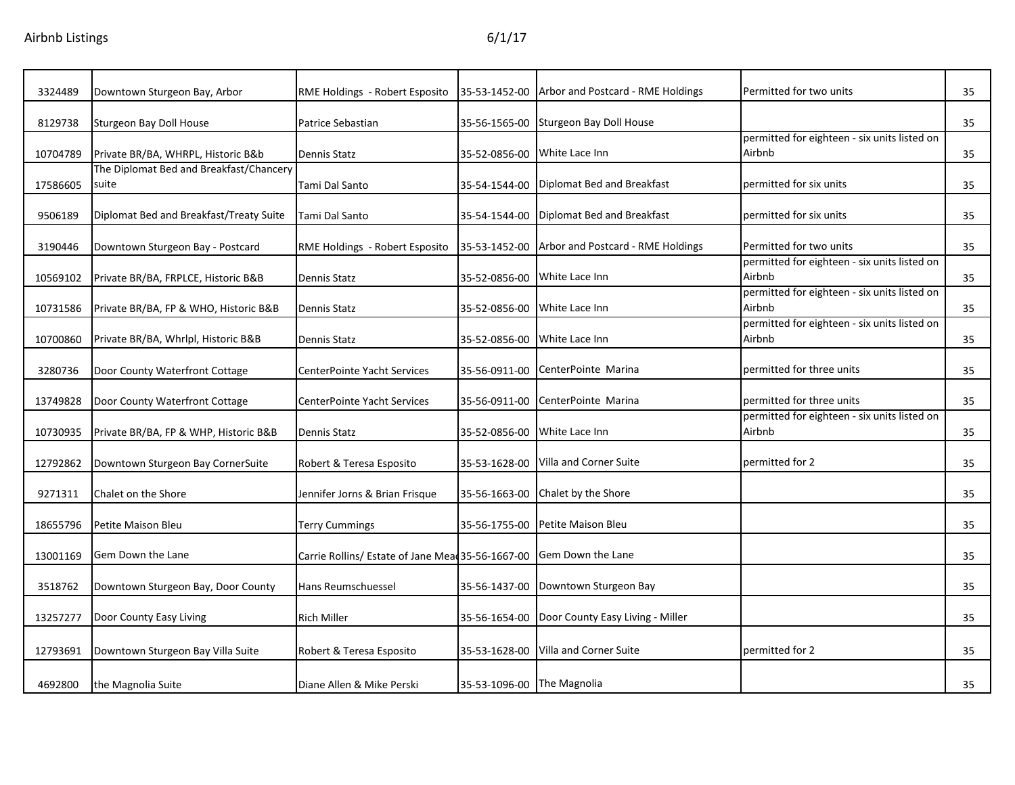| 3324489  | Downtown Sturgeon Bay, Arbor                     | RME Holdings - Robert Esposito                    | 35-53-1452-00              | Arbor and Postcard - RME Holdings   | Permitted for two units                                | 35 |
|----------|--------------------------------------------------|---------------------------------------------------|----------------------------|-------------------------------------|--------------------------------------------------------|----|
| 8129738  | Sturgeon Bay Doll House                          | Patrice Sebastian                                 | 35-56-1565-00              | Sturgeon Bay Doll House             |                                                        | 35 |
| 10704789 | Private BR/BA, WHRPL, Historic B&b               | <b>Dennis Statz</b>                               | 35-52-0856-00              | White Lace Inn                      | permitted for eighteen - six units listed on<br>Airbnb | 35 |
| 17586605 | The Diplomat Bed and Breakfast/Chancery<br>suite | Tami Dal Santo                                    | 35-54-1544-00              | Diplomat Bed and Breakfast          | permitted for six units                                | 35 |
| 9506189  | Diplomat Bed and Breakfast/Treaty Suite          | Tami Dal Santo                                    | 35-54-1544-00              | Diplomat Bed and Breakfast          | permitted for six units                                | 35 |
| 3190446  | Downtown Sturgeon Bay - Postcard                 | RME Holdings - Robert Esposito                    | 35-53-1452-00              | Arbor and Postcard - RME Holdings   | Permitted for two units                                | 35 |
| 10569102 | Private BR/BA, FRPLCE, Historic B&B              | <b>Dennis Statz</b>                               | 35-52-0856-00              | White Lace Inn                      | permitted for eighteen - six units listed on<br>Airbnb | 35 |
| 10731586 | Private BR/BA, FP & WHO, Historic B&B            | <b>Dennis Statz</b>                               | 35-52-0856-00              | White Lace Inn                      | permitted for eighteen - six units listed on<br>Airbnb | 35 |
| 10700860 | Private BR/BA, Whrlpl, Historic B&B              | Dennis Statz                                      | 35-52-0856-00              | White Lace Inn                      | permitted for eighteen - six units listed on<br>Airbnb | 35 |
| 3280736  | Door County Waterfront Cottage                   | CenterPointe Yacht Services                       | 35-56-0911-00              | CenterPointe Marina                 | permitted for three units                              | 35 |
| 13749828 | Door County Waterfront Cottage                   | <b>CenterPointe Yacht Services</b>                | 35-56-0911-00              | CenterPointe Marina                 | permitted for three units                              | 35 |
| 10730935 | Private BR/BA, FP & WHP, Historic B&B            | Dennis Statz                                      | 35-52-0856-00              | White Lace Inn                      | permitted for eighteen - six units listed on<br>Airbnb | 35 |
| 12792862 | Downtown Sturgeon Bay CornerSuite                | Robert & Teresa Esposito                          | 35-53-1628-00              | Villa and Corner Suite              | permitted for 2                                        | 35 |
| 9271311  | Chalet on the Shore                              | Jennifer Jorns & Brian Frisque                    | 35-56-1663-00              | Chalet by the Shore                 |                                                        | 35 |
| 18655796 | Petite Maison Bleu                               | Terry Cummings                                    | 35-56-1755-00              | Petite Maison Bleu                  |                                                        | 35 |
| 13001169 | Gem Down the Lane                                | Carrie Rollins/ Estate of Jane Mead 35-56-1667-00 |                            | Gem Down the Lane                   |                                                        | 35 |
| 3518762  | Downtown Sturgeon Bay, Door County               | Hans Reumschuessel                                |                            | 35-56-1437-00 Downtown Sturgeon Bay |                                                        | 35 |
| 13257277 | Door County Easy Living                          | <b>Rich Miller</b>                                | 35-56-1654-00              | Door County Easy Living - Miller    |                                                        | 35 |
| 12793691 | Downtown Sturgeon Bay Villa Suite                | Robert & Teresa Esposito                          | 35-53-1628-00              | Villa and Corner Suite              | permitted for 2                                        | 35 |
| 4692800  | the Magnolia Suite                               | Diane Allen & Mike Perski                         | 35-53-1096-00 The Magnolia |                                     |                                                        | 35 |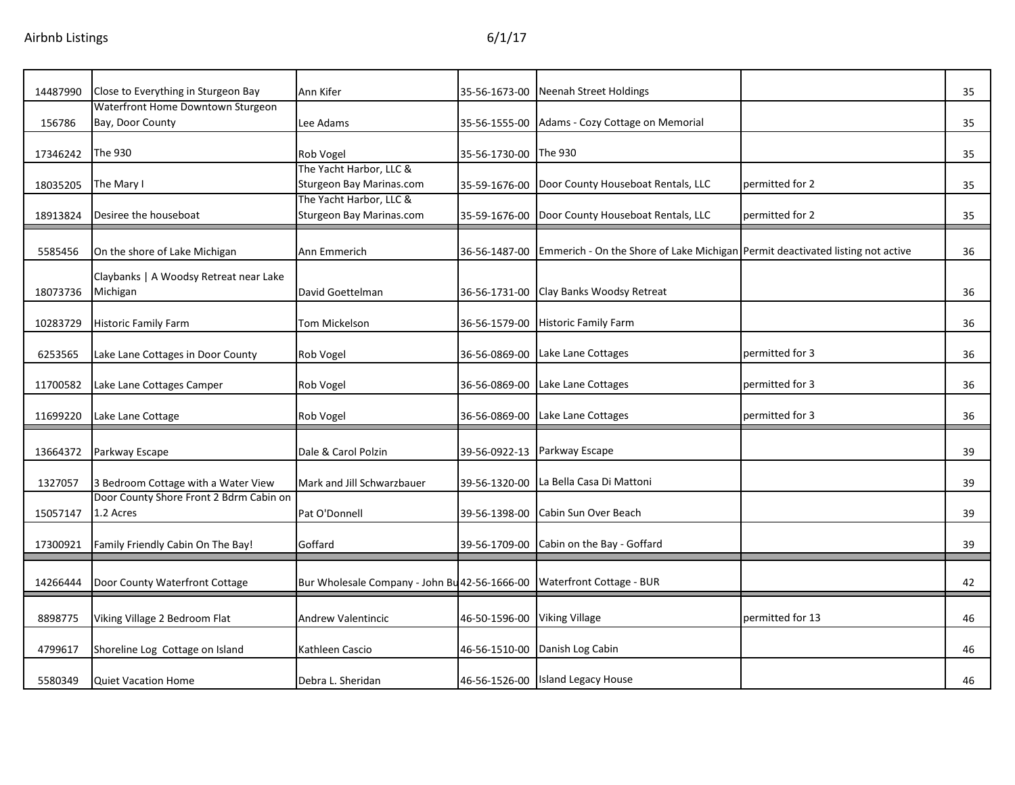| 14487990 | Close to Everything in Sturgeon Bay                   | Ann Kifer                                           | 35-56-1673-00 | Neenah Street Holdings                                                         |                  | 35 |
|----------|-------------------------------------------------------|-----------------------------------------------------|---------------|--------------------------------------------------------------------------------|------------------|----|
| 156786   | Waterfront Home Downtown Sturgeon<br>Bay, Door County | Lee Adams                                           | 35-56-1555-00 | Adams - Cozy Cottage on Memorial                                               |                  | 35 |
| 17346242 | The 930                                               | <b>Rob Vogel</b>                                    | 35-56-1730-00 | The 930                                                                        |                  | 35 |
| 18035205 | The Mary I                                            | The Yacht Harbor, LLC &<br>Sturgeon Bay Marinas.com | 35-59-1676-00 | Door County Houseboat Rentals, LLC                                             | permitted for 2  | 35 |
| 18913824 | Desiree the houseboat                                 | The Yacht Harbor, LLC &<br>Sturgeon Bay Marinas.com | 35-59-1676-00 | Door County Houseboat Rentals, LLC                                             | permitted for 2  | 35 |
| 5585456  | On the shore of Lake Michigan                         | Ann Emmerich                                        | 36-56-1487-00 | Emmerich - On the Shore of Lake Michigan Permit deactivated listing not active |                  | 36 |
| 18073736 | Claybanks   A Woodsy Retreat near Lake<br>Michigan    | David Goettelman                                    | 36-56-1731-00 | Clay Banks Woodsy Retreat                                                      |                  | 36 |
| 10283729 | <b>Historic Family Farm</b>                           | Tom Mickelson                                       | 36-56-1579-00 | <b>Historic Family Farm</b>                                                    |                  | 36 |
| 6253565  | Lake Lane Cottages in Door County                     | Rob Vogel                                           | 36-56-0869-00 | Lake Lane Cottages                                                             | permitted for 3  | 36 |
| 11700582 | Lake Lane Cottages Camper                             | Rob Vogel                                           | 36-56-0869-00 | Lake Lane Cottages                                                             | permitted for 3  | 36 |
| 11699220 | Lake Lane Cottage                                     | Rob Vogel                                           | 36-56-0869-00 | Lake Lane Cottages                                                             | permitted for 3  | 36 |
| 13664372 | Parkway Escape                                        | Dale & Carol Polzin                                 | 39-56-0922-13 | Parkway Escape                                                                 |                  | 39 |
| 1327057  | 3 Bedroom Cottage with a Water View                   | Mark and Jill Schwarzbauer                          | 39-56-1320-00 | La Bella Casa Di Mattoni                                                       |                  | 39 |
| 15057147 | Door County Shore Front 2 Bdrm Cabin on<br>1.2 Acres  | Pat O'Donnell                                       | 39-56-1398-00 | Cabin Sun Over Beach                                                           |                  | 39 |
| 17300921 | Family Friendly Cabin On The Bay!                     | Goffard                                             | 39-56-1709-00 | Cabin on the Bay - Goffard                                                     |                  | 39 |
| 14266444 | Door County Waterfront Cottage                        | Bur Wholesale Company - John Bu 42-56-1666-00       |               | <b>Waterfront Cottage - BUR</b>                                                |                  | 42 |
| 8898775  | Viking Village 2 Bedroom Flat                         | <b>Andrew Valentincic</b>                           | 46-50-1596-00 | <b>Viking Village</b>                                                          | permitted for 13 | 46 |
| 4799617  | Shoreline Log Cottage on Island                       | Kathleen Cascio                                     | 46-56-1510-00 | Danish Log Cabin                                                               |                  | 46 |
| 5580349  | <b>Quiet Vacation Home</b>                            | Debra L. Sheridan                                   |               | 46-56-1526-00 Island Legacy House                                              |                  | 46 |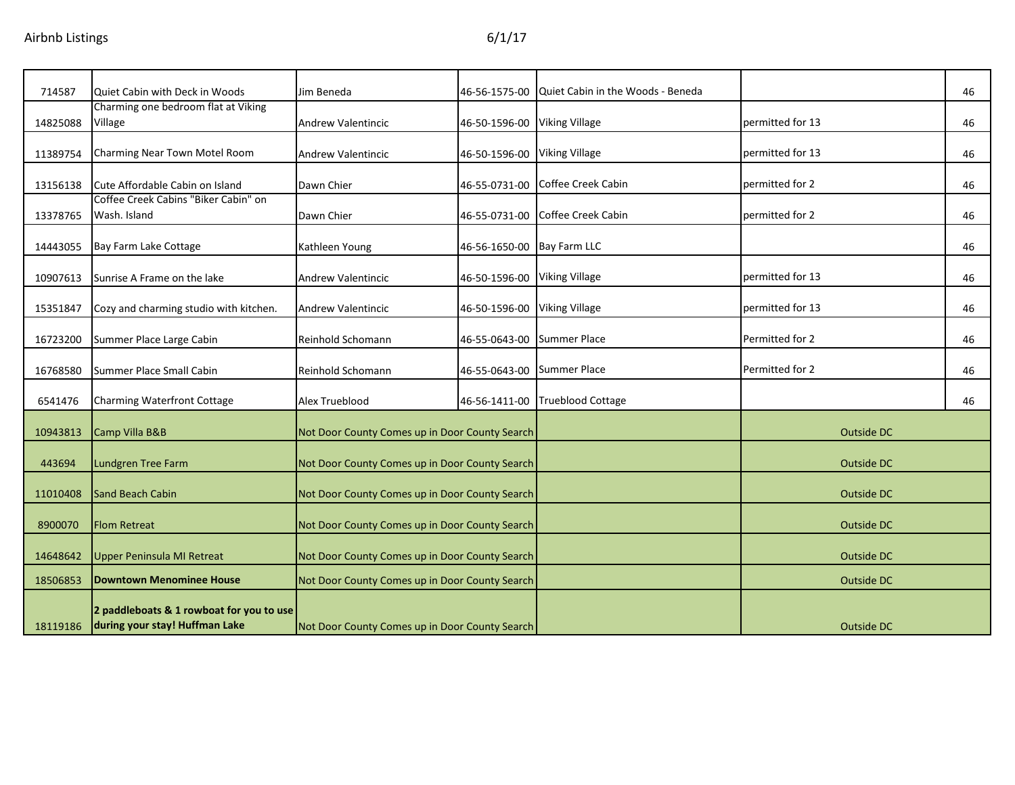| 714587   | Quiet Cabin with Deck in Woods                                             | Jim Beneda                                     | 46-56-1575-00                | Quiet Cabin in the Woods - Beneda |                  | 46 |
|----------|----------------------------------------------------------------------------|------------------------------------------------|------------------------------|-----------------------------------|------------------|----|
| 14825088 | Charming one bedroom flat at Viking<br>Village                             | <b>Andrew Valentincic</b>                      | 46-50-1596-00 Viking Village |                                   | permitted for 13 | 46 |
| 11389754 | Charming Near Town Motel Room                                              | <b>Andrew Valentincic</b>                      | 46-50-1596-00 Viking Village |                                   | permitted for 13 | 46 |
| 13156138 | Cute Affordable Cabin on Island                                            | Dawn Chier                                     | 46-55-0731-00                | Coffee Creek Cabin                | permitted for 2  | 46 |
| 13378765 | Coffee Creek Cabins "Biker Cabin" on<br>Wash. Island                       | Dawn Chier                                     | 46-55-0731-00                | Coffee Creek Cabin                | permitted for 2  | 46 |
| 14443055 | Bay Farm Lake Cottage                                                      | Kathleen Young                                 | 46-56-1650-00 Bay Farm LLC   |                                   |                  | 46 |
| 10907613 | Sunrise A Frame on the lake                                                | <b>Andrew Valentincic</b>                      | 46-50-1596-00                | <b>Viking Village</b>             | permitted for 13 | 46 |
| 15351847 | Cozy and charming studio with kitchen.                                     | <b>Andrew Valentincic</b>                      | 46-50-1596-00                | <b>Viking Village</b>             | permitted for 13 | 46 |
| 16723200 | Summer Place Large Cabin                                                   | Reinhold Schomann                              | 46-55-0643-00                | <b>Summer Place</b>               | Permitted for 2  | 46 |
| 16768580 | Summer Place Small Cabin                                                   | Reinhold Schomann                              | 46-55-0643-00                | <b>Summer Place</b>               | Permitted for 2  | 46 |
| 6541476  | Charming Waterfront Cottage                                                | Alex Trueblood                                 | 46-56-1411-00                | <b>Trueblood Cottage</b>          |                  | 46 |
| 10943813 | Camp Villa B&B                                                             | Not Door County Comes up in Door County Search |                              |                                   | Outside DC       |    |
| 443694   | Lundgren Tree Farm                                                         | Not Door County Comes up in Door County Search |                              |                                   | Outside DC       |    |
| 11010408 | <b>Sand Beach Cabin</b>                                                    | Not Door County Comes up in Door County Search |                              |                                   | Outside DC       |    |
| 8900070  | <b>Flom Retreat</b>                                                        | Not Door County Comes up in Door County Search |                              |                                   | Outside DC       |    |
| 14648642 | <b>Upper Peninsula MI Retreat</b>                                          | Not Door County Comes up in Door County Search |                              |                                   | Outside DC       |    |
| 18506853 | <b>Downtown Menominee House</b>                                            | Not Door County Comes up in Door County Search |                              |                                   | Outside DC       |    |
| 18119186 | 2 paddleboats & 1 rowboat for you to use<br>during your stay! Huffman Lake | Not Door County Comes up in Door County Search |                              |                                   | Outside DC       |    |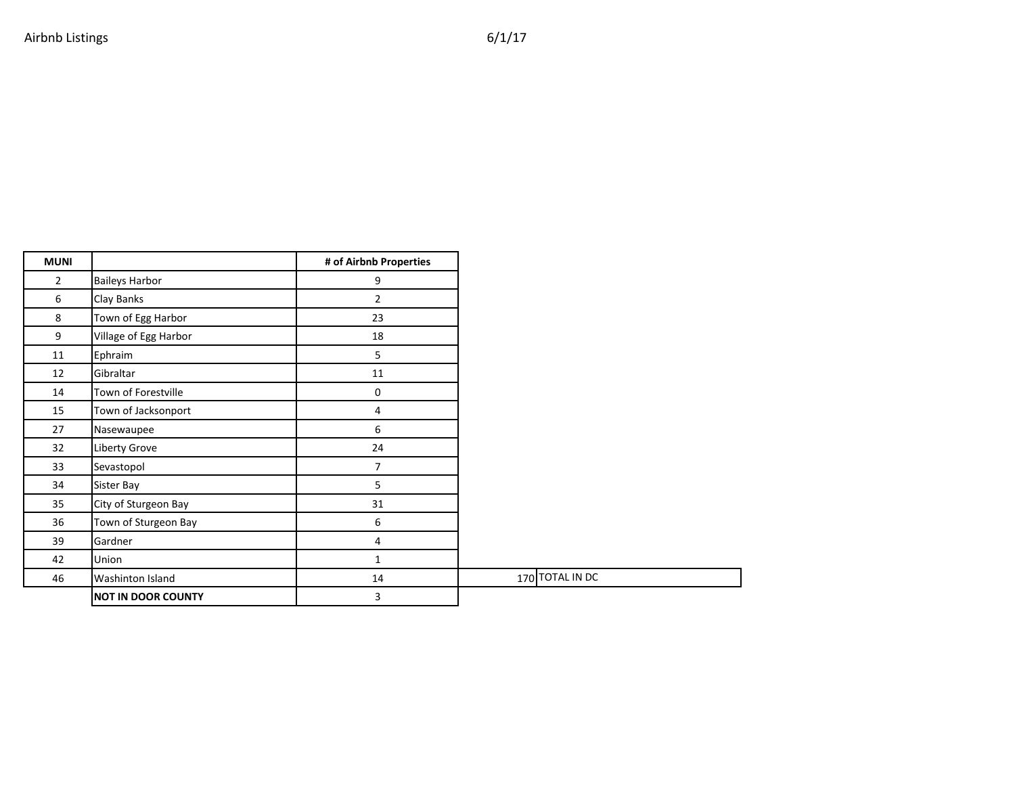| <b>MUNI</b>    |                           | # of Airbnb Properties |                 |
|----------------|---------------------------|------------------------|-----------------|
| $\overline{2}$ | <b>Baileys Harbor</b>     | 9                      |                 |
| 6              | Clay Banks                | $\overline{2}$         |                 |
| 8              | Town of Egg Harbor        | 23                     |                 |
| 9              | Village of Egg Harbor     | 18                     |                 |
| 11             | Ephraim                   | 5                      |                 |
| 12             | Gibraltar                 | 11                     |                 |
| 14             | Town of Forestville       | $\mathbf 0$            |                 |
| 15             | Town of Jacksonport       | $\overline{4}$         |                 |
| 27             | Nasewaupee                | 6                      |                 |
| 32             | Liberty Grove             | 24                     |                 |
| 33             | Sevastopol                | $\overline{7}$         |                 |
| 34             | Sister Bay                | 5                      |                 |
| 35             | City of Sturgeon Bay      | 31                     |                 |
| 36             | Town of Sturgeon Bay      | 6                      |                 |
| 39             | Gardner                   | 4                      |                 |
| 42             | Union                     | 1                      |                 |
| 46             | Washinton Island          | 14                     | 170 TOTAL IN DC |
|                | <b>NOT IN DOOR COUNTY</b> | 3                      |                 |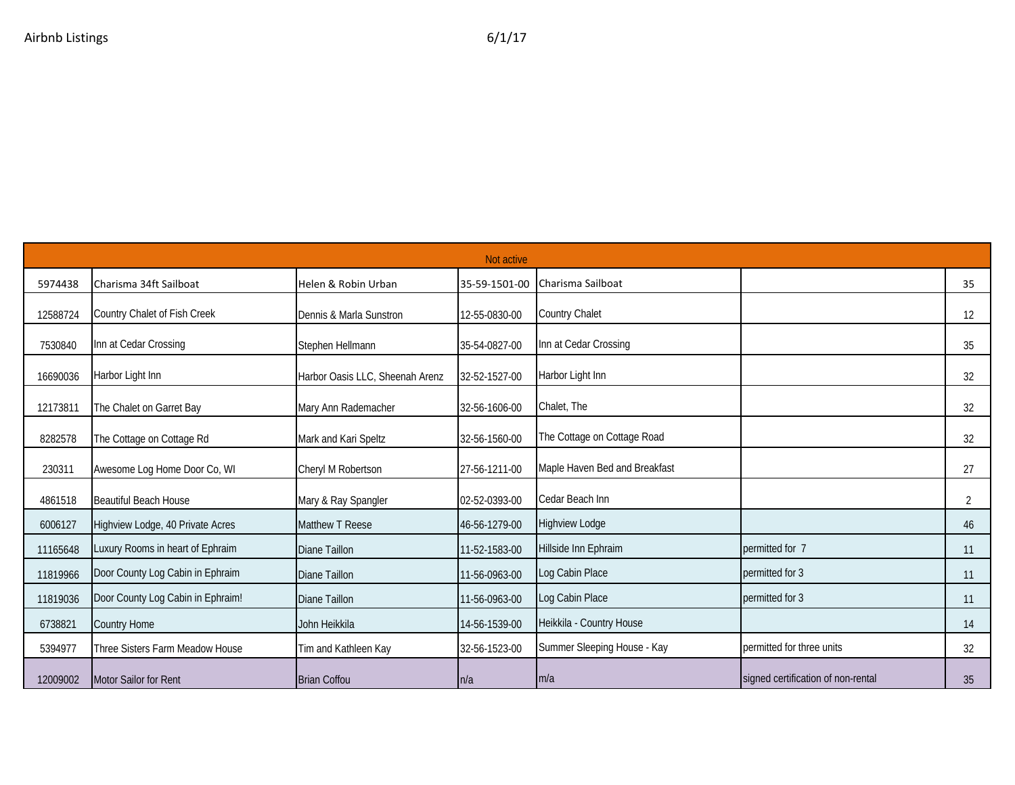|          |                                   |                                 | Not active    |                               |                                    |    |
|----------|-----------------------------------|---------------------------------|---------------|-------------------------------|------------------------------------|----|
| 5974438  | Charisma 34ft Sailboat            | Helen & Robin Urban             | 35-59-1501-00 | Charisma Sailboat             |                                    | 35 |
| 12588724 | Country Chalet of Fish Creek      | Dennis & Marla Sunstron         | 12-55-0830-00 | Country Chalet                |                                    | 12 |
| 7530840  | Inn at Cedar Crossing             | Stephen Hellmann                | 35-54-0827-00 | Inn at Cedar Crossing         |                                    | 35 |
| 16690036 | Harbor Light Inn                  | Harbor Oasis LLC, Sheenah Arenz | 32-52-1527-00 | Harbor Light Inn              |                                    | 32 |
| 12173811 | The Chalet on Garret Bay          | Mary Ann Rademacher             | 32-56-1606-00 | Chalet, The                   |                                    | 32 |
| 8282578  | The Cottage on Cottage Rd         | Mark and Kari Speltz            | 32-56-1560-00 | The Cottage on Cottage Road   |                                    | 32 |
| 230311   | Awesome Log Home Door Co, WI      | Cheryl M Robertson              | 27-56-1211-00 | Maple Haven Bed and Breakfast |                                    | 27 |
| 4861518  | <b>Beautiful Beach House</b>      | Mary & Ray Spangler             | 02-52-0393-00 | Cedar Beach Inn               |                                    | 2  |
| 6006127  | Highview Lodge, 40 Private Acres  | Matthew T Reese                 | 46-56-1279-00 | <b>Highview Lodge</b>         |                                    | 46 |
| 11165648 | Luxury Rooms in heart of Ephraim  | Diane Taillon                   | 11-52-1583-00 | Hillside Inn Ephraim          | permitted for 7                    | 11 |
| 11819966 | Door County Log Cabin in Ephraim  | Diane Taillon                   | 11-56-0963-00 | Log Cabin Place               | permitted for 3                    | 11 |
| 11819036 | Door County Log Cabin in Ephraim! | Diane Taillon                   | 11-56-0963-00 | Log Cabin Place               | permitted for 3                    | 11 |
| 6738821  | <b>Country Home</b>               | John Heikkila                   | 14-56-1539-00 | Heikkila - Country House      |                                    | 14 |
| 5394977  | Three Sisters Farm Meadow House   | Tim and Kathleen Kay            | 32-56-1523-00 | Summer Sleeping House - Kay   | permitted for three units          | 32 |
| 12009002 | Motor Sailor for Rent             | <b>Brian Coffou</b>             | n/a           | m/a                           | signed certification of non-rental | 35 |